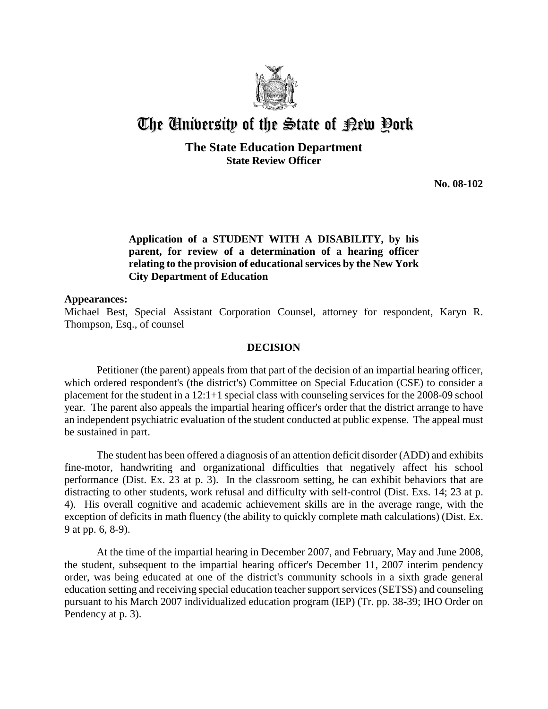

# The University of the State of Pew Pork

**The State Education Department State Review Officer**

**No. 08-102** 

### **Application of a STUDENT WITH A DISABILITY, by his parent, for review of a determination of a hearing officer relating to the provision of educational services by the New York City Department of Education**

#### **Appearances:**

Michael Best, Special Assistant Corporation Counsel, attorney for respondent, Karyn R. Thompson, Esq., of counsel

#### **DECISION**

Petitioner (the parent) appeals from that part of the decision of an impartial hearing officer, which ordered respondent's (the district's) Committee on Special Education (CSE) to consider a placement for the student in a 12:1+1 special class with counseling services for the 2008-09 school year. The parent also appeals the impartial hearing officer's order that the district arrange to have an independent psychiatric evaluation of the student conducted at public expense. The appeal must be sustained in part.

The student has been offered a diagnosis of an attention deficit disorder (ADD) and exhibits fine-motor, handwriting and organizational difficulties that negatively affect his school performance (Dist. Ex. 23 at p. 3). In the classroom setting, he can exhibit behaviors that are distracting to other students, work refusal and difficulty with self-control (Dist. Exs. 14; 23 at p. 4). His overall cognitive and academic achievement skills are in the average range, with the exception of deficits in math fluency (the ability to quickly complete math calculations) (Dist. Ex. 9 at pp. 6, 8-9).

At the time of the impartial hearing in December 2007, and February, May and June 2008, the student, subsequent to the impartial hearing officer's December 11, 2007 interim pendency order, was being educated at one of the district's community schools in a sixth grade general education setting and receiving special education teacher support services (SETSS) and counseling pursuant to his March 2007 individualized education program (IEP) (Tr. pp. 38-39; IHO Order on Pendency at p. 3).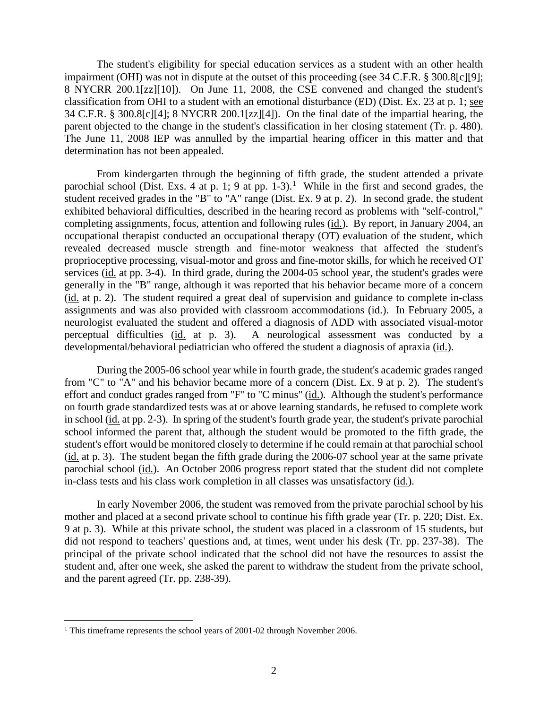The student's eligibility for special education services as a student with an other health impairment (OHI) was not in dispute at the outset of this proceeding (see 34 C.F.R. § 300.8[c][9]; 8 NYCRR 200.1[zz][10]). On June 11, 2008, the CSE convened and changed the student's classification from OHI to a student with an emotional disturbance (ED) (Dist. Ex. 23 at p. 1; see 34 C.F.R. § 300.8[c][4]; 8 NYCRR 200.1[zz][4]). On the final date of the impartial hearing, the parent objected to the change in the student's classification in her closing statement (Tr. p. 480). The June 11, 2008 IEP was annulled by the impartial hearing officer in this matter and that determination has not been appealed.

From kindergarten through the beginning of fifth grade, the student attended a private parochial school (Dist. Exs. 4 at p. 1; 9 at pp.  $1-3$ ).<sup>1</sup> While in the first and second grades, the student received grades in the "B" to "A" range (Dist. Ex. 9 at p. 2). In second grade, the student exhibited behavioral difficulties, described in the hearing record as problems with "self-control," completing assignments, focus, attention and following rules (id.). By report, in January 2004, an occupational therapist conducted an occupational therapy (OT) evaluation of the student, which revealed decreased muscle strength and fine-motor weakness that affected the student's proprioceptive processing, visual-motor and gross and fine-motor skills, for which he received OT services (id. at pp. 3-4). In third grade, during the 2004-05 school year, the student's grades were generally in the "B" range, although it was reported that his behavior became more of a concern (id. at p. 2). The student required a great deal of supervision and guidance to complete in-class assignments and was also provided with classroom accommodations (id.). In February 2005, a neurologist evaluated the student and offered a diagnosis of ADD with associated visual-motor perceptual difficulties (id. at p. 3). A neurological assessment was conducted by a developmental/behavioral pediatrician who offered the student a diagnosis of apraxia (id.).

During the 2005-06 school year while in fourth grade, the student's academic grades ranged from "C" to "A" and his behavior became more of a concern (Dist. Ex. 9 at p. 2). The student's effort and conduct grades ranged from "F" to "C minus" (id.). Although the student's performance on fourth grade standardized tests was at or above learning standards, he refused to complete work in school (id. at pp. 2-3). In spring of the student's fourth grade year, the student's private parochial school informed the parent that, although the student would be promoted to the fifth grade, the student's effort would be monitored closely to determine if he could remain at that parochial school (id. at p. 3). The student began the fifth grade during the 2006-07 school year at the same private parochial school (id.). An October 2006 progress report stated that the student did not complete in-class tests and his class work completion in all classes was unsatisfactory (id.).

In early November 2006, the student was removed from the private parochial school by his mother and placed at a second private school to continue his fifth grade year (Tr. p. 220; Dist. Ex. 9 at p. 3). While at this private school, the student was placed in a classroom of 15 students, but did not respond to teachers' questions and, at times, went under his desk (Tr. pp. 237-38). The principal of the private school indicated that the school did not have the resources to assist the student and, after one week, she asked the parent to withdraw the student from the private school, and the parent agreed (Tr. pp. 238-39).

<sup>&</sup>lt;sup>1</sup> This timeframe represents the school years of 2001-02 through November 2006.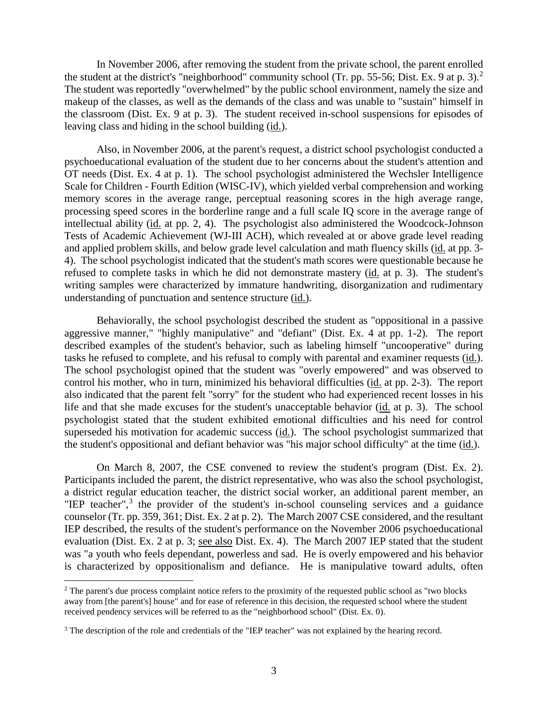In November 2006, after removing the student from the private school, the parent enrolled the student at the district's "neighborhood" community school (Tr. pp. 55-56; Dist. Ex. 9 at p. 3). 2 The student was reportedly "overwhelmed" by the public school environment, namely the size and makeup of the classes, as well as the demands of the class and was unable to "sustain" himself in the classroom (Dist. Ex. 9 at p. 3). The student received in-school suspensions for episodes of leaving class and hiding in the school building (id.).

Also, in November 2006, at the parent's request, a district school psychologist conducted a psychoeducational evaluation of the student due to her concerns about the student's attention and OT needs (Dist. Ex. 4 at p. 1). The school psychologist administered the Wechsler Intelligence Scale for Children - Fourth Edition (WISC-IV), which yielded verbal comprehension and working memory scores in the average range, perceptual reasoning scores in the high average range, processing speed scores in the borderline range and a full scale IQ score in the average range of intellectual ability (id. at pp. 2, 4). The psychologist also administered the Woodcock-Johnson Tests of Academic Achievement (WJ-III ACH), which revealed at or above grade level reading and applied problem skills, and below grade level calculation and math fluency skills (id. at pp. 3- 4). The school psychologist indicated that the student's math scores were questionable because he refused to complete tasks in which he did not demonstrate mastery (id. at p. 3). The student's writing samples were characterized by immature handwriting, disorganization and rudimentary understanding of punctuation and sentence structure (id.).

Behaviorally, the school psychologist described the student as "oppositional in a passive aggressive manner," "highly manipulative" and "defiant" (Dist. Ex. 4 at pp. 1-2). The report described examples of the student's behavior, such as labeling himself "uncooperative" during tasks he refused to complete, and his refusal to comply with parental and examiner requests (id.). The school psychologist opined that the student was "overly empowered" and was observed to control his mother, who in turn, minimized his behavioral difficulties (id. at pp. 2-3). The report also indicated that the parent felt "sorry" for the student who had experienced recent losses in his life and that she made excuses for the student's unacceptable behavior (id. at p. 3). The school psychologist stated that the student exhibited emotional difficulties and his need for control superseded his motivation for academic success (id.). The school psychologist summarized that the student's oppositional and defiant behavior was "his major school difficulty" at the time (id.).

On March 8, 2007, the CSE convened to review the student's program (Dist. Ex. 2). Participants included the parent, the district representative, who was also the school psychologist, a district regular education teacher, the district social worker, an additional parent member, an "IEP teacher", $3$  the provider of the student's in-school counseling services and a guidance counselor (Tr. pp. 359, 361; Dist. Ex. 2 at p. 2). The March 2007 CSE considered, and the resultant IEP described, the results of the student's performance on the November 2006 psychoeducational evaluation (Dist. Ex. 2 at p. 3; see also Dist. Ex. 4). The March 2007 IEP stated that the student was "a youth who feels dependant, powerless and sad. He is overly empowered and his behavior is characterized by oppositionalism and defiance. He is manipulative toward adults, often

<sup>&</sup>lt;sup>2</sup> The parent's due process complaint notice refers to the proximity of the requested public school as "two blocks" away from [the parent's] house" and for ease of reference in this decision, the requested school where the student received pendency services will be referred to as the "neighborhood school" (Dist. Ex. 0).

<sup>&</sup>lt;sup>3</sup> The description of the role and credentials of the "IEP teacher" was not explained by the hearing record.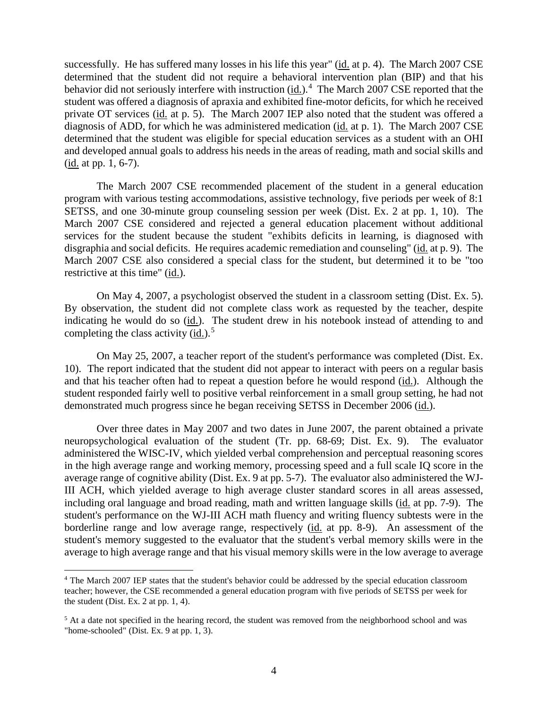successfully. He has suffered many losses in his life this year" (id. at p. 4). The March 2007 CSE determined that the student did not require a behavioral intervention plan (BIP) and that his behavior did not seriously interfere with instruction (id.).<sup>4</sup> The March 2007 CSE reported that the student was offered a diagnosis of apraxia and exhibited fine-motor deficits, for which he received private OT services (id. at p. 5). The March 2007 IEP also noted that the student was offered a diagnosis of ADD, for which he was administered medication (id. at p. 1). The March 2007 CSE determined that the student was eligible for special education services as a student with an OHI and developed annual goals to address his needs in the areas of reading, math and social skills and (id. at pp. 1, 6-7).

The March 2007 CSE recommended placement of the student in a general education program with various testing accommodations, assistive technology, five periods per week of 8:1 SETSS, and one 30-minute group counseling session per week (Dist. Ex. 2 at pp. 1, 10). The March 2007 CSE considered and rejected a general education placement without additional services for the student because the student "exhibits deficits in learning, is diagnosed with disgraphia and social deficits. He requires academic remediation and counseling" (id. at p. 9). The March 2007 CSE also considered a special class for the student, but determined it to be "too restrictive at this time" (id.).

On May 4, 2007, a psychologist observed the student in a classroom setting (Dist. Ex. 5). By observation, the student did not complete class work as requested by the teacher, despite indicating he would do so (id.). The student drew in his notebook instead of attending to and completing the class activity  $(id.)$ <sup>5</sup>

On May 25, 2007, a teacher report of the student's performance was completed (Dist. Ex. 10). The report indicated that the student did not appear to interact with peers on a regular basis and that his teacher often had to repeat a question before he would respond (id.). Although the student responded fairly well to positive verbal reinforcement in a small group setting, he had not demonstrated much progress since he began receiving SETSS in December 2006 (id.).

Over three dates in May 2007 and two dates in June 2007, the parent obtained a private neuropsychological evaluation of the student (Tr. pp. 68-69; Dist. Ex. 9). The evaluator administered the WISC-IV, which yielded verbal comprehension and perceptual reasoning scores in the high average range and working memory, processing speed and a full scale IQ score in the average range of cognitive ability (Dist. Ex. 9 at pp. 5-7). The evaluator also administered the WJ-III ACH, which yielded average to high average cluster standard scores in all areas assessed, including oral language and broad reading, math and written language skills (id. at pp. 7-9). The student's performance on the WJ-III ACH math fluency and writing fluency subtests were in the borderline range and low average range, respectively (id. at pp. 8-9). An assessment of the student's memory suggested to the evaluator that the student's verbal memory skills were in the average to high average range and that his visual memory skills were in the low average to average

 <sup>4</sup> The March 2007 IEP states that the student's behavior could be addressed by the special education classroom teacher; however, the CSE recommended a general education program with five periods of SETSS per week for the student (Dist. Ex. 2 at pp. 1, 4).

<sup>&</sup>lt;sup>5</sup> At a date not specified in the hearing record, the student was removed from the neighborhood school and was "home-schooled" (Dist. Ex. 9 at pp. 1, 3).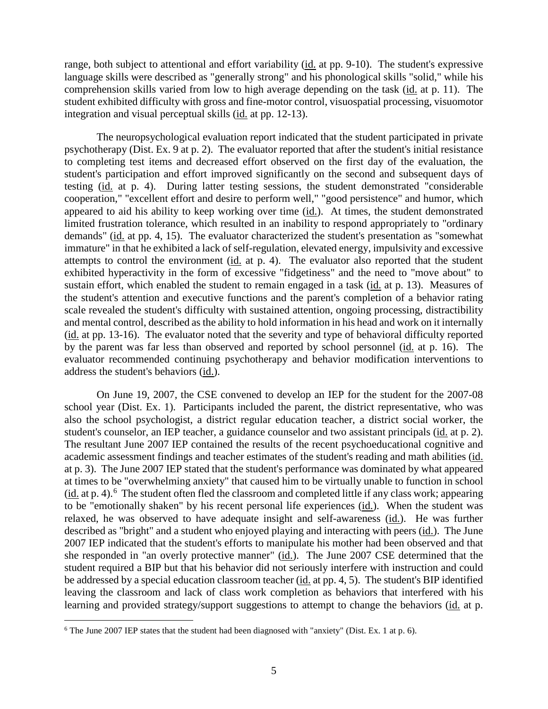range, both subject to attentional and effort variability (id. at pp. 9-10). The student's expressive language skills were described as "generally strong" and his phonological skills "solid," while his comprehension skills varied from low to high average depending on the task (id. at p. 11). The student exhibited difficulty with gross and fine-motor control, visuospatial processing, visuomotor integration and visual perceptual skills (id. at pp. 12-13).

The neuropsychological evaluation report indicated that the student participated in private psychotherapy (Dist. Ex. 9 at p. 2). The evaluator reported that after the student's initial resistance to completing test items and decreased effort observed on the first day of the evaluation, the student's participation and effort improved significantly on the second and subsequent days of testing (id. at p. 4). During latter testing sessions, the student demonstrated "considerable cooperation," "excellent effort and desire to perform well," "good persistence" and humor, which appeared to aid his ability to keep working over time (id.). At times, the student demonstrated limited frustration tolerance, which resulted in an inability to respond appropriately to "ordinary demands" (id. at pp. 4, 15). The evaluator characterized the student's presentation as "somewhat immature" in that he exhibited a lack of self-regulation, elevated energy, impulsivity and excessive attempts to control the environment (id. at p. 4). The evaluator also reported that the student exhibited hyperactivity in the form of excessive "fidgetiness" and the need to "move about" to sustain effort, which enabled the student to remain engaged in a task (id. at p. 13). Measures of the student's attention and executive functions and the parent's completion of a behavior rating scale revealed the student's difficulty with sustained attention, ongoing processing, distractibility and mental control, described as the ability to hold information in his head and work on it internally (id. at pp. 13-16). The evaluator noted that the severity and type of behavioral difficulty reported by the parent was far less than observed and reported by school personnel (id. at p. 16). The evaluator recommended continuing psychotherapy and behavior modification interventions to address the student's behaviors (id.).

On June 19, 2007, the CSE convened to develop an IEP for the student for the 2007-08 school year (Dist. Ex. 1). Participants included the parent, the district representative, who was also the school psychologist, a district regular education teacher, a district social worker, the student's counselor, an IEP teacher, a guidance counselor and two assistant principals (id. at p. 2). The resultant June 2007 IEP contained the results of the recent psychoeducational cognitive and academic assessment findings and teacher estimates of the student's reading and math abilities (id. at p. 3). The June 2007 IEP stated that the student's performance was dominated by what appeared at times to be "overwhelming anxiety" that caused him to be virtually unable to function in school (id. at p. 4).<sup>6</sup> The student often fled the classroom and completed little if any class work; appearing to be "emotionally shaken" by his recent personal life experiences (id.). When the student was relaxed, he was observed to have adequate insight and self-awareness (id.). He was further described as "bright" and a student who enjoyed playing and interacting with peers (id.). The June 2007 IEP indicated that the student's efforts to manipulate his mother had been observed and that she responded in "an overly protective manner" (id.). The June 2007 CSE determined that the student required a BIP but that his behavior did not seriously interfere with instruction and could be addressed by a special education classroom teacher (id. at pp. 4, 5). The student's BIP identified leaving the classroom and lack of class work completion as behaviors that interfered with his learning and provided strategy/support suggestions to attempt to change the behaviors (id. at p.

 <sup>6</sup> The June 2007 IEP states that the student had been diagnosed with "anxiety" (Dist. Ex. 1 at p. 6).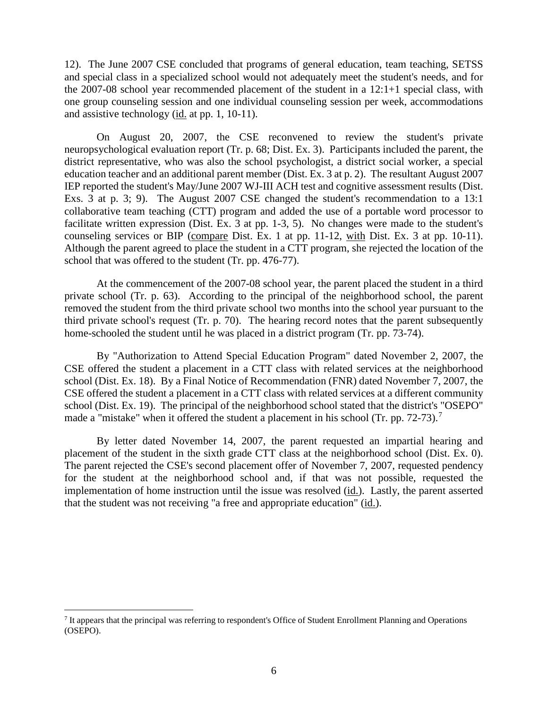12). The June 2007 CSE concluded that programs of general education, team teaching, SETSS and special class in a specialized school would not adequately meet the student's needs, and for the 2007-08 school year recommended placement of the student in a 12:1+1 special class, with one group counseling session and one individual counseling session per week, accommodations and assistive technology (id. at pp. 1, 10-11).

On August 20, 2007, the CSE reconvened to review the student's private neuropsychological evaluation report (Tr. p. 68; Dist. Ex. 3). Participants included the parent, the district representative, who was also the school psychologist, a district social worker, a special education teacher and an additional parent member (Dist. Ex. 3 at p. 2). The resultant August 2007 IEP reported the student's May/June 2007 WJ-III ACH test and cognitive assessment results (Dist. Exs. 3 at p. 3; 9). The August 2007 CSE changed the student's recommendation to a 13:1 collaborative team teaching (CTT) program and added the use of a portable word processor to facilitate written expression (Dist. Ex. 3 at pp. 1-3, 5). No changes were made to the student's counseling services or BIP (compare Dist. Ex. 1 at pp. 11-12, with Dist. Ex. 3 at pp. 10-11). Although the parent agreed to place the student in a CTT program, she rejected the location of the school that was offered to the student (Tr. pp. 476-77).

At the commencement of the 2007-08 school year, the parent placed the student in a third private school (Tr. p. 63). According to the principal of the neighborhood school, the parent removed the student from the third private school two months into the school year pursuant to the third private school's request (Tr. p. 70). The hearing record notes that the parent subsequently home-schooled the student until he was placed in a district program (Tr. pp. 73-74).

By "Authorization to Attend Special Education Program" dated November 2, 2007, the CSE offered the student a placement in a CTT class with related services at the neighborhood school (Dist. Ex. 18). By a Final Notice of Recommendation (FNR) dated November 7, 2007, the CSE offered the student a placement in a CTT class with related services at a different community school (Dist. Ex. 19). The principal of the neighborhood school stated that the district's "OSEPO" made a "mistake" when it offered the student a placement in his school (Tr. pp. 72-73).<sup>7</sup>

By letter dated November 14, 2007, the parent requested an impartial hearing and placement of the student in the sixth grade CTT class at the neighborhood school (Dist. Ex. 0). The parent rejected the CSE's second placement offer of November 7, 2007, requested pendency for the student at the neighborhood school and, if that was not possible, requested the implementation of home instruction until the issue was resolved (id.). Lastly, the parent asserted that the student was not receiving "a free and appropriate education" (id.).

<sup>&</sup>lt;sup>7</sup> It appears that the principal was referring to respondent's Office of Student Enrollment Planning and Operations (OSEPO).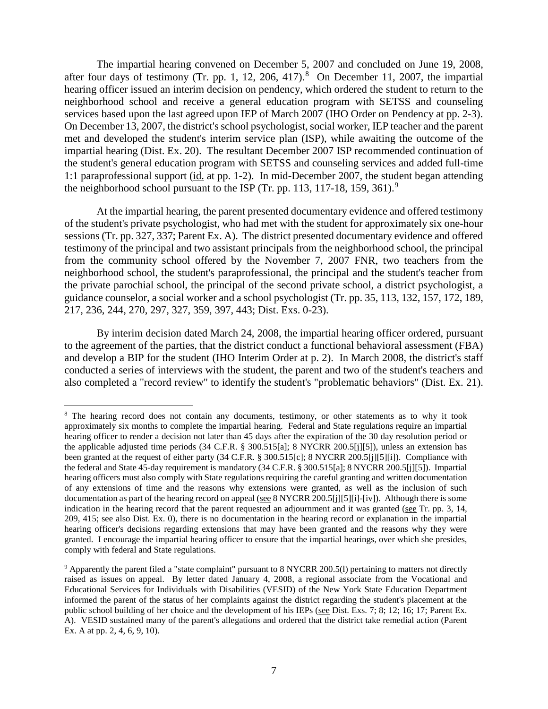The impartial hearing convened on December 5, 2007 and concluded on June 19, 2008, after four days of testimony (Tr. pp. 1, 12, 206, 417). $8$  On December 11, 2007, the impartial hearing officer issued an interim decision on pendency, which ordered the student to return to the neighborhood school and receive a general education program with SETSS and counseling services based upon the last agreed upon IEP of March 2007 (IHO Order on Pendency at pp. 2-3). On December 13, 2007, the district's school psychologist, social worker, IEP teacher and the parent met and developed the student's interim service plan (ISP), while awaiting the outcome of the impartial hearing (Dist. Ex. 20). The resultant December 2007 ISP recommended continuation of the student's general education program with SETSS and counseling services and added full-time 1:1 paraprofessional support (id. at pp. 1-2). In mid-December 2007, the student began attending the neighborhood school pursuant to the ISP (Tr. pp. 113, 117-18, 159, 361).<sup>9</sup>

At the impartial hearing, the parent presented documentary evidence and offered testimony of the student's private psychologist, who had met with the student for approximately six one-hour sessions (Tr. pp. 327, 337; Parent Ex. A). The district presented documentary evidence and offered testimony of the principal and two assistant principals from the neighborhood school, the principal from the community school offered by the November 7, 2007 FNR, two teachers from the neighborhood school, the student's paraprofessional, the principal and the student's teacher from the private parochial school, the principal of the second private school, a district psychologist, a guidance counselor, a social worker and a school psychologist (Tr. pp. 35, 113, 132, 157, 172, 189, 217, 236, 244, 270, 297, 327, 359, 397, 443; Dist. Exs. 0-23).

By interim decision dated March 24, 2008, the impartial hearing officer ordered, pursuant to the agreement of the parties, that the district conduct a functional behavioral assessment (FBA) and develop a BIP for the student (IHO Interim Order at p. 2). In March 2008, the district's staff conducted a series of interviews with the student, the parent and two of the student's teachers and also completed a "record review" to identify the student's "problematic behaviors" (Dist. Ex. 21).

<sup>&</sup>lt;sup>8</sup> The hearing record does not contain any documents, testimony, or other statements as to why it took approximately six months to complete the impartial hearing. Federal and State regulations require an impartial hearing officer to render a decision not later than 45 days after the expiration of the 30 day resolution period or the applicable adjusted time periods (34 C.F.R. § 300.515[a]; 8 NYCRR 200.5[j][5]), unless an extension has been granted at the request of either party (34 C.F.R. § 300.515[c]; 8 NYCRR 200.5[j][5][i]). Compliance with the federal and State 45-day requirement is mandatory (34 C.F.R. § 300.515[a]; 8 NYCRR 200.5[j][5]). Impartial hearing officers must also comply with State regulations requiring the careful granting and written documentation of any extensions of time and the reasons why extensions were granted, as well as the inclusion of such documentation as part of the hearing record on appeal (see  $8$  NYCRR 200.5[j][5][i]-[iv]). Although there is some indication in the hearing record that the parent requested an adjournment and it was granted (see Tr. pp. 3, 14, 209, 415; see also Dist. Ex. 0), there is no documentation in the hearing record or explanation in the impartial hearing officer's decisions regarding extensions that may have been granted and the reasons why they were granted. I encourage the impartial hearing officer to ensure that the impartial hearings, over which she presides, comply with federal and State regulations.

<sup>9</sup> Apparently the parent filed a "state complaint" pursuant to 8 NYCRR 200.5(l) pertaining to matters not directly raised as issues on appeal. By letter dated January 4, 2008, a regional associate from the Vocational and Educational Services for Individuals with Disabilities (VESID) of the New York State Education Department informed the parent of the status of her complaints against the district regarding the student's placement at the public school building of her choice and the development of his IEPs (see Dist. Exs. 7; 8; 12; 16; 17; Parent Ex. A). VESID sustained many of the parent's allegations and ordered that the district take remedial action (Parent Ex. A at pp. 2, 4, 6, 9, 10).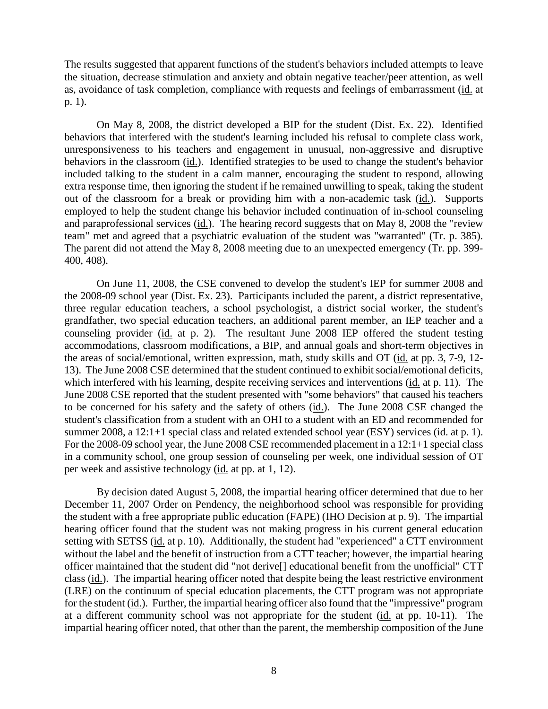The results suggested that apparent functions of the student's behaviors included attempts to leave the situation, decrease stimulation and anxiety and obtain negative teacher/peer attention, as well as, avoidance of task completion, compliance with requests and feelings of embarrassment (id. at p. 1).

On May 8, 2008, the district developed a BIP for the student (Dist. Ex. 22). Identified behaviors that interfered with the student's learning included his refusal to complete class work, unresponsiveness to his teachers and engagement in unusual, non-aggressive and disruptive behaviors in the classroom (id.). Identified strategies to be used to change the student's behavior included talking to the student in a calm manner, encouraging the student to respond, allowing extra response time, then ignoring the student if he remained unwilling to speak, taking the student out of the classroom for a break or providing him with a non-academic task (id.). Supports employed to help the student change his behavior included continuation of in-school counseling and paraprofessional services (id.). The hearing record suggests that on May 8, 2008 the "review team" met and agreed that a psychiatric evaluation of the student was "warranted" (Tr. p. 385). The parent did not attend the May 8, 2008 meeting due to an unexpected emergency (Tr. pp. 399- 400, 408).

On June 11, 2008, the CSE convened to develop the student's IEP for summer 2008 and the 2008-09 school year (Dist. Ex. 23). Participants included the parent, a district representative, three regular education teachers, a school psychologist, a district social worker, the student's grandfather, two special education teachers, an additional parent member, an IEP teacher and a counseling provider (id. at p. 2). The resultant June 2008 IEP offered the student testing accommodations, classroom modifications, a BIP, and annual goals and short-term objectives in the areas of social/emotional, written expression, math, study skills and OT (id. at pp. 3, 7-9, 12- 13). The June 2008 CSE determined that the student continued to exhibit social/emotional deficits, which interfered with his learning, despite receiving services and interventions (id. at p. 11). The June 2008 CSE reported that the student presented with "some behaviors" that caused his teachers to be concerned for his safety and the safety of others (id.). The June 2008 CSE changed the student's classification from a student with an OHI to a student with an ED and recommended for summer 2008, a 12:1+1 special class and related extended school year (ESY) services (id. at p. 1). For the 2008-09 school year, the June 2008 CSE recommended placement in a 12:1+1 special class in a community school, one group session of counseling per week, one individual session of OT per week and assistive technology (id. at pp. at 1, 12).

By decision dated August 5, 2008, the impartial hearing officer determined that due to her December 11, 2007 Order on Pendency, the neighborhood school was responsible for providing the student with a free appropriate public education (FAPE) (IHO Decision at p. 9). The impartial hearing officer found that the student was not making progress in his current general education setting with SETSS (id. at p. 10). Additionally, the student had "experienced" a CTT environment without the label and the benefit of instruction from a CTT teacher; however, the impartial hearing officer maintained that the student did "not derive[] educational benefit from the unofficial" CTT class (id.). The impartial hearing officer noted that despite being the least restrictive environment (LRE) on the continuum of special education placements, the CTT program was not appropriate for the student (id.). Further, the impartial hearing officer also found that the "impressive" program at a different community school was not appropriate for the student (id. at pp. 10-11). The impartial hearing officer noted, that other than the parent, the membership composition of the June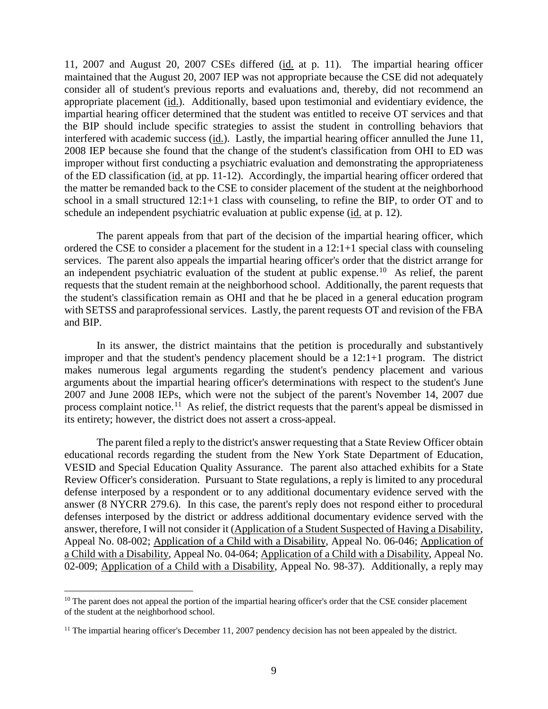11, 2007 and August 20, 2007 CSEs differed (id. at p. 11). The impartial hearing officer maintained that the August 20, 2007 IEP was not appropriate because the CSE did not adequately consider all of student's previous reports and evaluations and, thereby, did not recommend an appropriate placement  $(id)$ . Additionally, based upon testimonial and evidentiary evidence, the impartial hearing officer determined that the student was entitled to receive OT services and that the BIP should include specific strategies to assist the student in controlling behaviors that interfered with academic success (id.). Lastly, the impartial hearing officer annulled the June 11, 2008 IEP because she found that the change of the student's classification from OHI to ED was improper without first conducting a psychiatric evaluation and demonstrating the appropriateness of the ED classification (id. at pp. 11-12). Accordingly, the impartial hearing officer ordered that the matter be remanded back to the CSE to consider placement of the student at the neighborhood school in a small structured 12:1+1 class with counseling, to refine the BIP, to order OT and to schedule an independent psychiatric evaluation at public expense (id. at p. 12).

The parent appeals from that part of the decision of the impartial hearing officer, which ordered the CSE to consider a placement for the student in a 12:1+1 special class with counseling services. The parent also appeals the impartial hearing officer's order that the district arrange for an independent psychiatric evaluation of the student at public expense.<sup>10</sup> As relief, the parent requests that the student remain at the neighborhood school. Additionally, the parent requests that the student's classification remain as OHI and that he be placed in a general education program with SETSS and paraprofessional services. Lastly, the parent requests OT and revision of the FBA and BIP.

In its answer, the district maintains that the petition is procedurally and substantively improper and that the student's pendency placement should be a  $12:1+1$  program. The district makes numerous legal arguments regarding the student's pendency placement and various arguments about the impartial hearing officer's determinations with respect to the student's June 2007 and June 2008 IEPs, which were not the subject of the parent's November 14, 2007 due process complaint notice.<sup>11</sup> As relief, the district requests that the parent's appeal be dismissed in its entirety; however, the district does not assert a cross-appeal.

The parent filed a reply to the district's answer requesting that a State Review Officer obtain educational records regarding the student from the New York State Department of Education, VESID and Special Education Quality Assurance. The parent also attached exhibits for a State Review Officer's consideration. Pursuant to State regulations, a reply is limited to any procedural defense interposed by a respondent or to any additional documentary evidence served with the answer (8 NYCRR 279.6). In this case, the parent's reply does not respond either to procedural defenses interposed by the district or address additional documentary evidence served with the answer, therefore, I will not consider it (Application of a Student Suspected of Having a Disability, Appeal No. 08-002; Application of a Child with a Disability, Appeal No. 06-046; Application of a Child with a Disability, Appeal No. 04-064; Application of a Child with a Disability, Appeal No. 02-009; Application of a Child with a Disability, Appeal No. 98-37). Additionally, a reply may

<sup>&</sup>lt;sup>10</sup> The parent does not appeal the portion of the impartial hearing officer's order that the CSE consider placement of the student at the neighborhood school.

<sup>&</sup>lt;sup>11</sup> The impartial hearing officer's December 11, 2007 pendency decision has not been appealed by the district.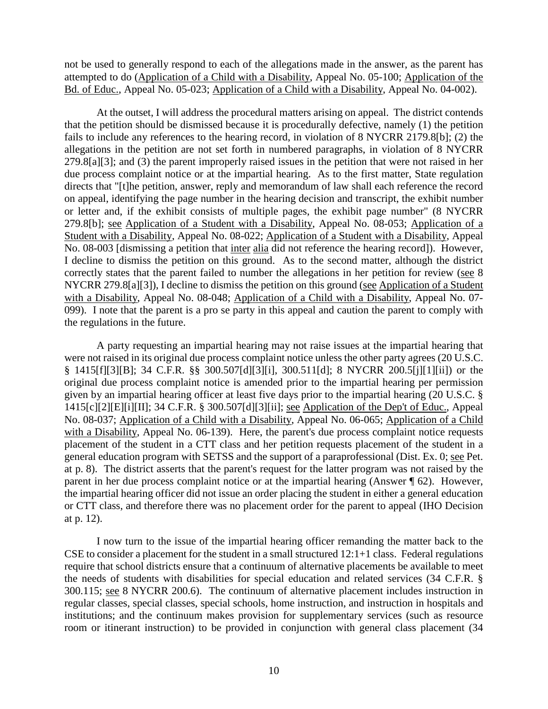not be used to generally respond to each of the allegations made in the answer, as the parent has attempted to do (Application of a Child with a Disability, Appeal No. 05-100; Application of the Bd. of Educ., Appeal No. 05-023; Application of a Child with a Disability, Appeal No. 04-002).

At the outset, I will address the procedural matters arising on appeal. The district contends that the petition should be dismissed because it is procedurally defective, namely (1) the petition fails to include any references to the hearing record, in violation of 8 NYCRR 2179.8[b]; (2) the allegations in the petition are not set forth in numbered paragraphs, in violation of 8 NYCRR 279.8[a][3]; and (3) the parent improperly raised issues in the petition that were not raised in her due process complaint notice or at the impartial hearing. As to the first matter, State regulation directs that "[t]he petition, answer, reply and memorandum of law shall each reference the record on appeal, identifying the page number in the hearing decision and transcript, the exhibit number or letter and, if the exhibit consists of multiple pages, the exhibit page number" (8 NYCRR 279.8[b]; see Application of a Student with a Disability, Appeal No. 08-053; Application of a Student with a Disability, Appeal No. 08-022; Application of a Student with a Disability, Appeal No. 08-003 [dismissing a petition that inter alia did not reference the hearing record]). However, I decline to dismiss the petition on this ground. As to the second matter, although the district correctly states that the parent failed to number the allegations in her petition for review (see 8 NYCRR 279.8[a][3]), I decline to dismiss the petition on this ground (see Application of a Student with a Disability, Appeal No. 08-048; Application of a Child with a Disability, Appeal No. 07-099). I note that the parent is a pro se party in this appeal and caution the parent to comply with the regulations in the future.

A party requesting an impartial hearing may not raise issues at the impartial hearing that were not raised in its original due process complaint notice unless the other party agrees (20 U.S.C. § 1415[f][3][B]; 34 C.F.R. §§ 300.507[d][3][i], 300.511[d]; 8 NYCRR 200.5[j][1][ii]) or the original due process complaint notice is amended prior to the impartial hearing per permission given by an impartial hearing officer at least five days prior to the impartial hearing (20 U.S.C. § 1415[c][2][E][i][II]; 34 C.F.R. § 300.507[d][3][ii]; see Application of the Dep't of Educ., Appeal No. 08-037; Application of a Child with a Disability, Appeal No. 06-065; Application of a Child with a Disability, Appeal No. 06-139). Here, the parent's due process complaint notice requests placement of the student in a CTT class and her petition requests placement of the student in a general education program with SETSS and the support of a paraprofessional (Dist. Ex. 0; see Pet. at p. 8). The district asserts that the parent's request for the latter program was not raised by the parent in her due process complaint notice or at the impartial hearing (Answer ¶ 62). However, the impartial hearing officer did not issue an order placing the student in either a general education or CTT class, and therefore there was no placement order for the parent to appeal (IHO Decision at p. 12).

I now turn to the issue of the impartial hearing officer remanding the matter back to the CSE to consider a placement for the student in a small structured 12:1+1 class. Federal regulations require that school districts ensure that a continuum of alternative placements be available to meet the needs of students with disabilities for special education and related services (34 C.F.R. § 300.115; see 8 NYCRR 200.6). The continuum of alternative placement includes instruction in regular classes, special classes, special schools, home instruction, and instruction in hospitals and institutions; and the continuum makes provision for supplementary services (such as resource room or itinerant instruction) to be provided in conjunction with general class placement (34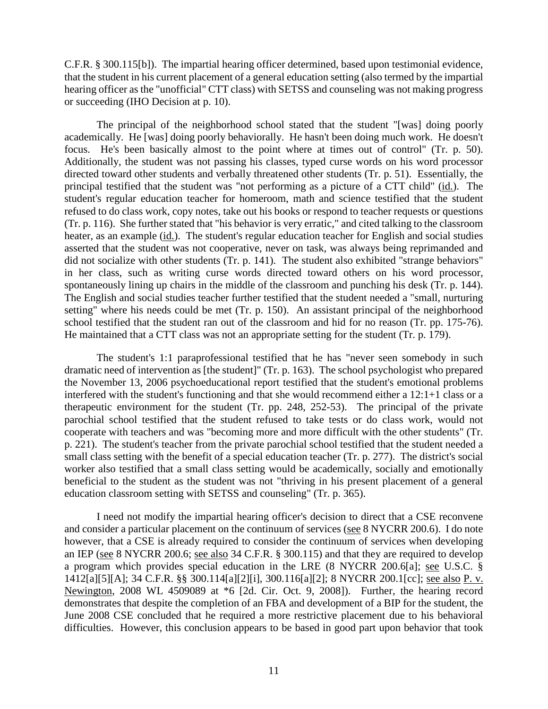C.F.R. § 300.115[b]). The impartial hearing officer determined, based upon testimonial evidence, that the student in his current placement of a general education setting (also termed by the impartial hearing officer as the "unofficial" CTT class) with SETSS and counseling was not making progress or succeeding (IHO Decision at p. 10).

The principal of the neighborhood school stated that the student "[was] doing poorly academically. He [was] doing poorly behaviorally. He hasn't been doing much work. He doesn't focus. He's been basically almost to the point where at times out of control" (Tr. p. 50). Additionally, the student was not passing his classes, typed curse words on his word processor directed toward other students and verbally threatened other students (Tr. p. 51). Essentially, the principal testified that the student was "not performing as a picture of a CTT child" (id.). The student's regular education teacher for homeroom, math and science testified that the student refused to do class work, copy notes, take out his books or respond to teacher requests or questions (Tr. p. 116). She further stated that "his behavior is very erratic," and cited talking to the classroom heater, as an example (id.). The student's regular education teacher for English and social studies asserted that the student was not cooperative, never on task, was always being reprimanded and did not socialize with other students (Tr. p. 141). The student also exhibited "strange behaviors" in her class, such as writing curse words directed toward others on his word processor, spontaneously lining up chairs in the middle of the classroom and punching his desk (Tr. p. 144). The English and social studies teacher further testified that the student needed a "small, nurturing setting" where his needs could be met (Tr. p. 150). An assistant principal of the neighborhood school testified that the student ran out of the classroom and hid for no reason (Tr. pp. 175-76). He maintained that a CTT class was not an appropriate setting for the student (Tr. p. 179).

The student's 1:1 paraprofessional testified that he has "never seen somebody in such dramatic need of intervention as [the student]" (Tr. p. 163). The school psychologist who prepared the November 13, 2006 psychoeducational report testified that the student's emotional problems interfered with the student's functioning and that she would recommend either a 12:1+1 class or a therapeutic environment for the student (Tr. pp. 248, 252-53). The principal of the private parochial school testified that the student refused to take tests or do class work, would not cooperate with teachers and was "becoming more and more difficult with the other students" (Tr. p. 221). The student's teacher from the private parochial school testified that the student needed a small class setting with the benefit of a special education teacher (Tr. p. 277). The district's social worker also testified that a small class setting would be academically, socially and emotionally beneficial to the student as the student was not "thriving in his present placement of a general education classroom setting with SETSS and counseling" (Tr. p. 365).

I need not modify the impartial hearing officer's decision to direct that a CSE reconvene and consider a particular placement on the continuum of services (see 8 NYCRR 200.6). I do note however, that a CSE is already required to consider the continuum of services when developing an IEP (see 8 NYCRR 200.6; see also 34 C.F.R. § 300.115) and that they are required to develop a program which provides special education in the LRE (8 NYCRR 200.6[a]; see U.S.C. § 1412[a][5][A]; 34 C.F.R. §§ 300.114[a][2][i], 300.116[a][2]; 8 NYCRR 200.1[cc]; see also P. v. Newington, 2008 WL 4509089 at \*6 [2d. Cir. Oct. 9, 2008]). Further, the hearing record demonstrates that despite the completion of an FBA and development of a BIP for the student, the June 2008 CSE concluded that he required a more restrictive placement due to his behavioral difficulties. However, this conclusion appears to be based in good part upon behavior that took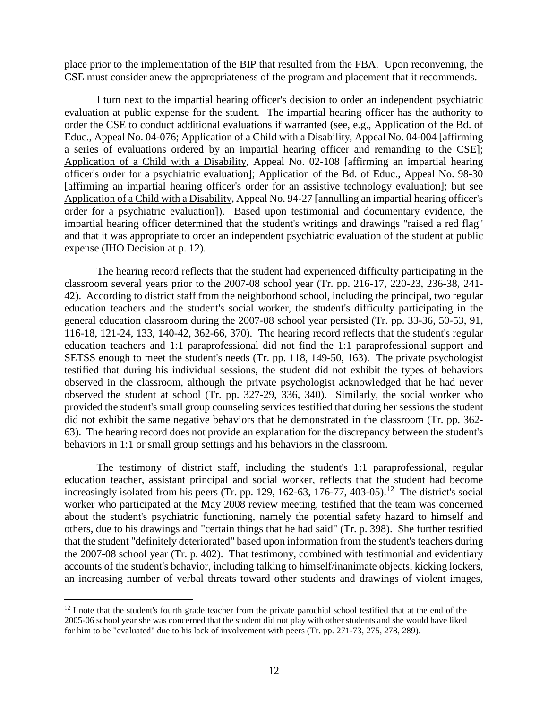place prior to the implementation of the BIP that resulted from the FBA. Upon reconvening, the CSE must consider anew the appropriateness of the program and placement that it recommends.

I turn next to the impartial hearing officer's decision to order an independent psychiatric evaluation at public expense for the student. The impartial hearing officer has the authority to order the CSE to conduct additional evaluations if warranted (see, e.g., Application of the Bd. of Educ., Appeal No. 04-076; Application of a Child with a Disability, Appeal No. 04-004 [affirming a series of evaluations ordered by an impartial hearing officer and remanding to the CSE]; Application of a Child with a Disability, Appeal No. 02-108 [affirming an impartial hearing officer's order for a psychiatric evaluation]; Application of the Bd. of Educ., Appeal No. 98-30 [affirming an impartial hearing officer's order for an assistive technology evaluation]; but see Application of a Child with a Disability, Appeal No. 94-27 [annulling an impartial hearing officer's order for a psychiatric evaluation]). Based upon testimonial and documentary evidence, the impartial hearing officer determined that the student's writings and drawings "raised a red flag" and that it was appropriate to order an independent psychiatric evaluation of the student at public expense (IHO Decision at p. 12).

The hearing record reflects that the student had experienced difficulty participating in the classroom several years prior to the 2007-08 school year (Tr. pp. 216-17, 220-23, 236-38, 241- 42). According to district staff from the neighborhood school, including the principal, two regular education teachers and the student's social worker, the student's difficulty participating in the general education classroom during the 2007-08 school year persisted (Tr. pp. 33-36, 50-53, 91, 116-18, 121-24, 133, 140-42, 362-66, 370). The hearing record reflects that the student's regular education teachers and 1:1 paraprofessional did not find the 1:1 paraprofessional support and SETSS enough to meet the student's needs (Tr. pp. 118, 149-50, 163). The private psychologist testified that during his individual sessions, the student did not exhibit the types of behaviors observed in the classroom, although the private psychologist acknowledged that he had never observed the student at school (Tr. pp. 327-29, 336, 340). Similarly, the social worker who provided the student's small group counseling services testified that during her sessions the student did not exhibit the same negative behaviors that he demonstrated in the classroom (Tr. pp. 362- 63). The hearing record does not provide an explanation for the discrepancy between the student's behaviors in 1:1 or small group settings and his behaviors in the classroom.

The testimony of district staff, including the student's 1:1 paraprofessional, regular education teacher, assistant principal and social worker, reflects that the student had become increasingly isolated from his peers (Tr. pp. 129, 162-63, 176-77, 403-05).<sup>12</sup> The district's social worker who participated at the May 2008 review meeting, testified that the team was concerned about the student's psychiatric functioning, namely the potential safety hazard to himself and others, due to his drawings and "certain things that he had said" (Tr. p. 398). She further testified that the student "definitely deteriorated" based upon information from the student's teachers during the 2007-08 school year (Tr. p. 402). That testimony, combined with testimonial and evidentiary accounts of the student's behavior, including talking to himself/inanimate objects, kicking lockers, an increasing number of verbal threats toward other students and drawings of violent images,

 $12$  I note that the student's fourth grade teacher from the private parochial school testified that at the end of the 2005-06 school year she was concerned that the student did not play with other students and she would have liked for him to be "evaluated" due to his lack of involvement with peers (Tr. pp. 271-73, 275, 278, 289).